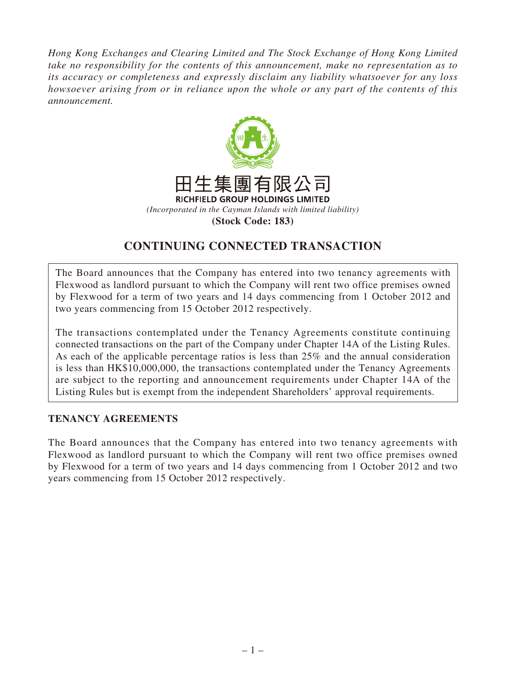*Hong Kong Exchanges and Clearing Limited and The Stock Exchange of Hong Kong Limited take no responsibility for the contents of this announcement, make no representation as to its accuracy or completeness and expressly disclaim any liability whatsoever for any loss howsoever arising from or in reliance upon the whole or any part of the contents of this announcement.*



# **CONTINUING CONNECTED TRANSACTION**

The Board announces that the Company has entered into two tenancy agreements with Flexwood as landlord pursuant to which the Company will rent two office premises owned by Flexwood for a term of two years and 14 days commencing from 1 October 2012 and two years commencing from 15 October 2012 respectively.

The transactions contemplated under the Tenancy Agreements constitute continuing connected transactions on the part of the Company under Chapter 14A of the Listing Rules. As each of the applicable percentage ratios is less than 25% and the annual consideration is less than HK\$10,000,000, the transactions contemplated under the Tenancy Agreements are subject to the reporting and announcement requirements under Chapter 14A of the Listing Rules but is exempt from the independent Shareholders' approval requirements.

#### **TENANCY AGREEMENTS**

The Board announces that the Company has entered into two tenancy agreements with Flexwood as landlord pursuant to which the Company will rent two office premises owned by Flexwood for a term of two years and 14 days commencing from 1 October 2012 and two years commencing from 15 October 2012 respectively.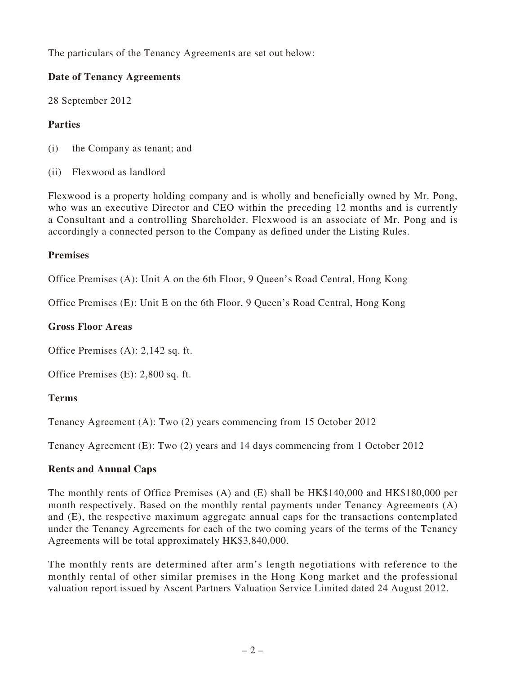The particulars of the Tenancy Agreements are set out below:

### **Date of Tenancy Agreements**

28 September 2012

## **Parties**

- (i) the Company as tenant; and
- (ii) Flexwood as landlord

Flexwood is a property holding company and is wholly and beneficially owned by Mr. Pong, who was an executive Director and CEO within the preceding 12 months and is currently a Consultant and a controlling Shareholder. Flexwood is an associate of Mr. Pong and is accordingly a connected person to the Company as defined under the Listing Rules.

### **Premises**

Office Premises (A): Unit A on the 6th Floor, 9 Queen's Road Central, Hong Kong

Office Premises (E): Unit E on the 6th Floor, 9 Queen's Road Central, Hong Kong

### **Gross Floor Areas**

Office Premises (A): 2,142 sq. ft.

Office Premises (E): 2,800 sq. ft.

# **Terms**

Tenancy Agreement (A): Two (2) years commencing from 15 October 2012

Tenancy Agreement (E): Two (2) years and 14 days commencing from 1 October 2012

# **Rents and Annual Caps**

The monthly rents of Office Premises (A) and (E) shall be HK\$140,000 and HK\$180,000 per month respectively. Based on the monthly rental payments under Tenancy Agreements (A) and (E), the respective maximum aggregate annual caps for the transactions contemplated under the Tenancy Agreements for each of the two coming years of the terms of the Tenancy Agreements will be total approximately HK\$3,840,000.

The monthly rents are determined after arm's length negotiations with reference to the monthly rental of other similar premises in the Hong Kong market and the professional valuation report issued by Ascent Partners Valuation Service Limited dated 24 August 2012.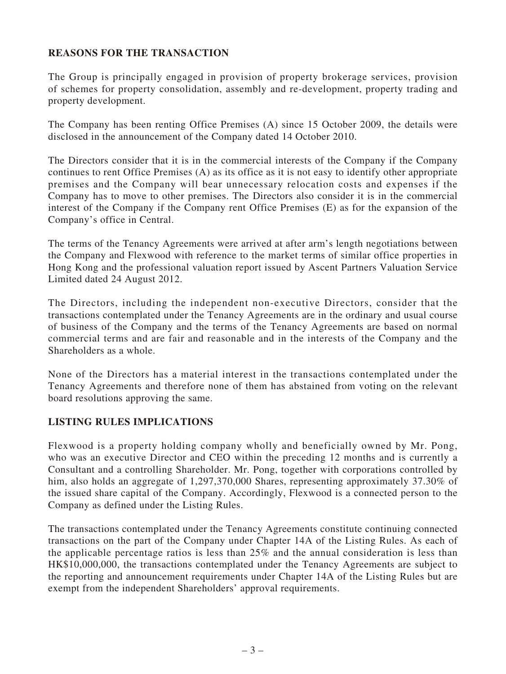# **REASONS FOR THE TRANSACTION**

The Group is principally engaged in provision of property brokerage services, provision of schemes for property consolidation, assembly and re-development, property trading and property development.

The Company has been renting Office Premises (A) since 15 October 2009, the details were disclosed in the announcement of the Company dated 14 October 2010.

The Directors consider that it is in the commercial interests of the Company if the Company continues to rent Office Premises (A) as its office as it is not easy to identify other appropriate premises and the Company will bear unnecessary relocation costs and expenses if the Company has to move to other premises. The Directors also consider it is in the commercial interest of the Company if the Company rent Office Premises (E) as for the expansion of the Company's office in Central.

The terms of the Tenancy Agreements were arrived at after arm's length negotiations between the Company and Flexwood with reference to the market terms of similar office properties in Hong Kong and the professional valuation report issued by Ascent Partners Valuation Service Limited dated 24 August 2012.

The Directors, including the independent non-executive Directors, consider that the transactions contemplated under the Tenancy Agreements are in the ordinary and usual course of business of the Company and the terms of the Tenancy Agreements are based on normal commercial terms and are fair and reasonable and in the interests of the Company and the Shareholders as a whole.

None of the Directors has a material interest in the transactions contemplated under the Tenancy Agreements and therefore none of them has abstained from voting on the relevant board resolutions approving the same.

#### **LISTING RULES IMPLICATIONS**

Flexwood is a property holding company wholly and beneficially owned by Mr. Pong, who was an executive Director and CEO within the preceding 12 months and is currently a Consultant and a controlling Shareholder. Mr. Pong, together with corporations controlled by him, also holds an aggregate of 1,297,370,000 Shares, representing approximately 37.30% of the issued share capital of the Company. Accordingly, Flexwood is a connected person to the Company as defined under the Listing Rules.

The transactions contemplated under the Tenancy Agreements constitute continuing connected transactions on the part of the Company under Chapter 14A of the Listing Rules. As each of the applicable percentage ratios is less than 25% and the annual consideration is less than HK\$10,000,000, the transactions contemplated under the Tenancy Agreements are subject to the reporting and announcement requirements under Chapter 14A of the Listing Rules but are exempt from the independent Shareholders' approval requirements.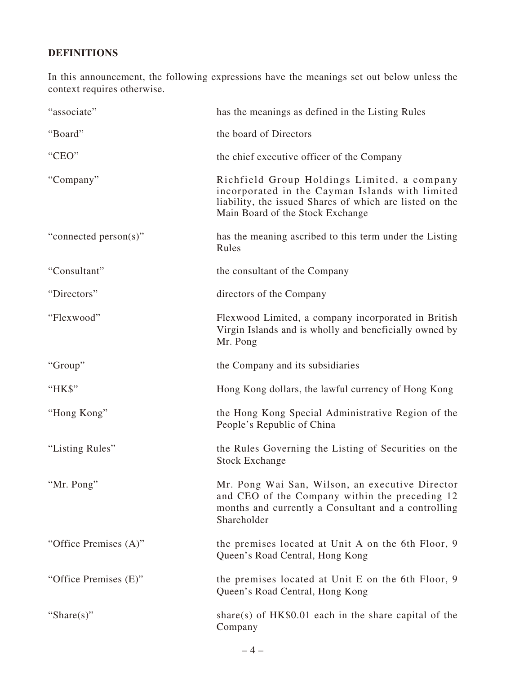# **DEFINITIONS**

In this announcement, the following expressions have the meanings set out below unless the context requires otherwise.

| "associate"           | has the meanings as defined in the Listing Rules                                                                                                                                              |
|-----------------------|-----------------------------------------------------------------------------------------------------------------------------------------------------------------------------------------------|
| "Board"               | the board of Directors                                                                                                                                                                        |
| "CEO"                 | the chief executive officer of the Company                                                                                                                                                    |
| "Company"             | Richfield Group Holdings Limited, a company<br>incorporated in the Cayman Islands with limited<br>liability, the issued Shares of which are listed on the<br>Main Board of the Stock Exchange |
| "connected person(s)" | has the meaning ascribed to this term under the Listing<br>Rules                                                                                                                              |
| "Consultant"          | the consultant of the Company                                                                                                                                                                 |
| "Directors"           | directors of the Company                                                                                                                                                                      |
| "Flexwood"            | Flexwood Limited, a company incorporated in British<br>Virgin Islands and is wholly and beneficially owned by<br>Mr. Pong                                                                     |
| "Group"               | the Company and its subsidiaries                                                                                                                                                              |
| "HK\$"                | Hong Kong dollars, the lawful currency of Hong Kong                                                                                                                                           |
| "Hong Kong"           | the Hong Kong Special Administrative Region of the<br>People's Republic of China                                                                                                              |
| "Listing Rules"       | the Rules Governing the Listing of Securities on the<br><b>Stock Exchange</b>                                                                                                                 |
| "Mr. Pong"            | Mr. Pong Wai San, Wilson, an executive Director<br>and CEO of the Company within the preceding 12<br>months and currently a Consultant and a controlling<br>Shareholder                       |
| "Office Premises (A)" | the premises located at Unit A on the 6th Floor, 9<br>Queen's Road Central, Hong Kong                                                                                                         |
| "Office Premises (E)" | the premises located at Unit E on the 6th Floor, 9<br>Queen's Road Central, Hong Kong                                                                                                         |
| "Share $(s)$ "        | share(s) of $HK$0.01$ each in the share capital of the<br>Company                                                                                                                             |